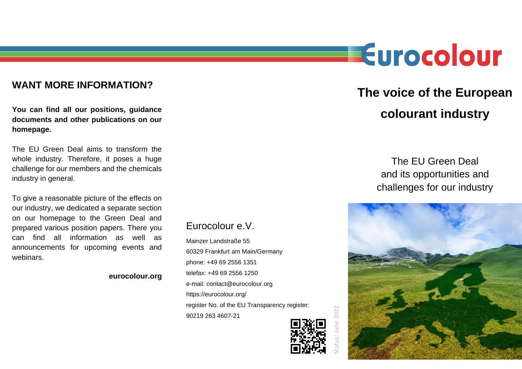### **WANT MORE INFORMATION?**

**You can find all our positions, guidance documents and other publications on our homepage.**

The EU Green Deal aims to transform the whole industry. Therefore, it poses a huge challenge for our members and the chemicals industry in general.

To give a reasonable picture of the effects on our industry, we dedicated a separate section on our homepage to the Green Deal and prepared various position papers. There you can find all information as well as announcements for upcoming events and webinars.

#### **eurocolour.org**

## Eurocolour e.V.

Mainzer Landstraße 55 60329 Frankfurt am Main/Germany phone: +49 69 2556 1351 telefax: +49 69 2556 1250 e-mail: contact@eurocolour.org https://eurocolour.org/ register No. of the EU Transparency register: 90219 263 4607-21



catus: June 2022 Status: June 2022

# **The voice of the European colourant industry**

Eurocolour

The EU Green Deal and its opportunities and challenges for our industry